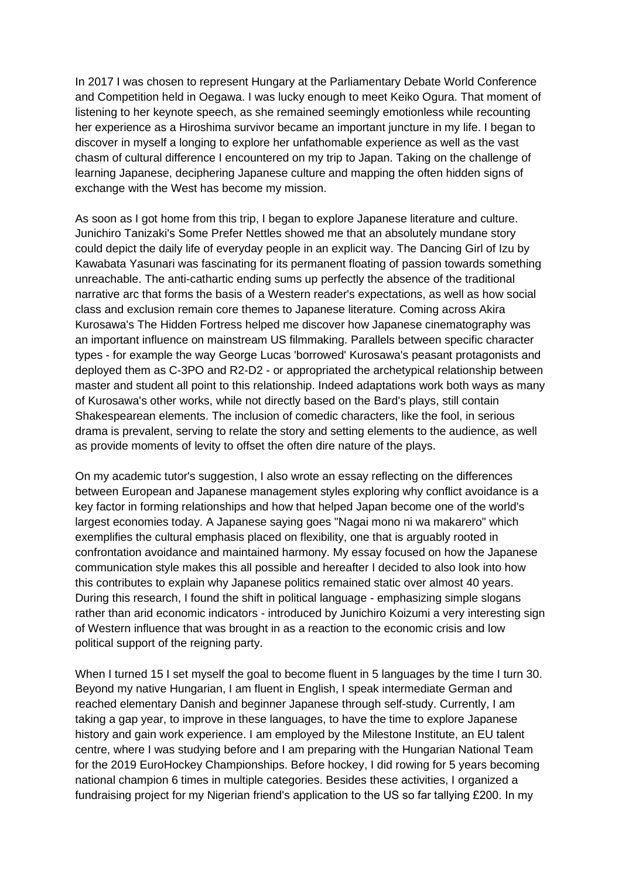In 2017 I was chosen to represent Hungary at the Parliamentary Debate World Conference and Competition held in Oegawa. I was lucky enough to meet Keiko Ogura. That moment of listening to her keynote speech, as she remained seemingly emotionless while recounting her experience as a Hiroshima survivor became an important juncture in my life. I began to discover in myself a longing to explore her unfathomable experience as well as the vast chasm of cultural difference I encountered on my trip to Japan. Taking on the challenge of learning Japanese, deciphering Japanese culture and mapping the often hidden signs of exchange with the West has become my mission.

As soon as I got home from this trip, I began to explore Japanese literature and culture. Junichiro Tanizaki's Some Prefer Nettles showed me that an absolutely mundane story could depict the daily life of everyday people in an explicit way. The Dancing Girl of Izu by Kawabata Yasunari was fascinating for its permanent floating of passion towards something unreachable. The anti-cathartic ending sums up perfectly the absence of the traditional narrative arc that forms the basis of a Western reader's expectations, as well as how social class and exclusion remain core themes to Japanese literature. Coming across Akira Kurosawa's The Hidden Fortress helped me discover how Japanese cinematography was an important influence on mainstream US filmmaking. Parallels between specific character types - for example the way George Lucas 'borrowed' Kurosawa's peasant protagonists and deployed them as C-3PO and R2-D2 - or appropriated the archetypical relationship between master and student all point to this relationship. Indeed adaptations work both ways as many of Kurosawa's other works, while not directly based on the Bard's plays, still contain Shakespearean elements. The inclusion of comedic characters, like the fool, in serious drama is prevalent, serving to relate the story and setting elements to the audience, as well as provide moments of levity to offset the often dire nature of the plays.

On my academic tutor's suggestion, I also wrote an essay reflecting on the differences between European and Japanese management styles exploring why conflict avoidance is a key factor in forming relationships and how that helped Japan become one of the world's largest economies today. A Japanese saying goes "Nagai mono ni wa makarero" which exemplifies the cultural emphasis placed on flexibility, one that is arguably rooted in confrontation avoidance and maintained harmony. My essay focused on how the Japanese communication style makes this all possible and hereafter I decided to also look into how this contributes to explain why Japanese politics remained static over almost 40 years. During this research, I found the shift in political language - emphasizing simple slogans rather than arid economic indicators - introduced by Junichiro Koizumi a very interesting sign of Western influence that was brought in as a reaction to the economic crisis and low political support of the reigning party.

When I turned 15 I set myself the goal to become fluent in 5 languages by the time I turn 30. Beyond my native Hungarian, I am fluent in English, I speak intermediate German and reached elementary Danish and beginner Japanese through self-study. Currently, I am taking a gap year, to improve in these languages, to have the time to explore Japanese history and gain work experience. I am employed by the Milestone Institute, an EU talent centre, where I was studying before and I am preparing with the Hungarian National Team for the 2019 EuroHockey Championships. Before hockey, I did rowing for 5 years becoming national champion 6 times in multiple categories. Besides these activities, I organized a fundraising project for my Nigerian friend's application to the US so far tallying £200. In my